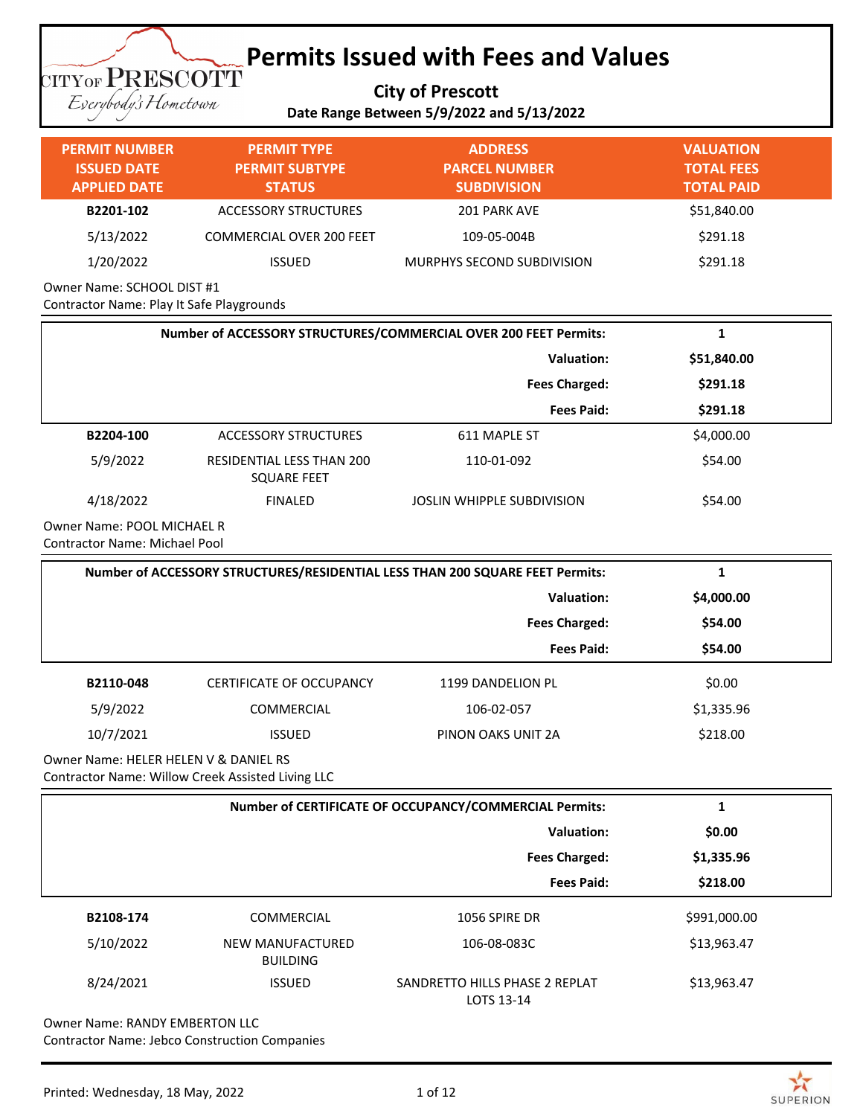**City of Prescott Date Range Between 5/9/2022 and 5/13/2022**

Everybody's Hometown

**TITYOF PRESCOTT** 

### **PERMIT NUMBER ISSUED DATE APPLIED DATE PERMIT TYPE PERMIT SUBTYPE STATUS ADDRESS PARCEL NUMBER SUBDIVISION VALUATION TOTAL FEES TOTAL PAID B2201-102** ACCESSORY STRUCTURES 201 PARK AVE \$51,840.00 5/13/2022 COMMERCIAL OVER 200 FEET 109-05-004B \$291.18 1/20/2022 ISSUED MURPHYS SECOND SUBDIVISION \$291.18

Owner Name: SCHOOL DIST #1 Contractor Name: Play It Safe Playgrounds

| Number of ACCESSORY STRUCTURES/COMMERCIAL OVER 200 FEET Permits:   |                                                 |                            | Ŧ.          |
|--------------------------------------------------------------------|-------------------------------------------------|----------------------------|-------------|
|                                                                    |                                                 | Valuation:                 | \$51,840.00 |
|                                                                    | <b>Fees Charged:</b>                            |                            | \$291.18    |
|                                                                    |                                                 | <b>Fees Paid:</b>          | \$291.18    |
| B2204-100                                                          | ACCESSORY STRUCTURES                            | 611 MAPLE ST               | \$4,000.00  |
| 5/9/2022                                                           | RESIDENTIAL LESS THAN 200<br><b>SQUARE FEET</b> | 110-01-092                 | \$54.00     |
| 4/18/2022                                                          | <b>FINALED</b>                                  | JOSLIN WHIPPLE SUBDIVISION | \$54.00     |
| Owner Name: POOL MICHAEL R<br><b>Contractor Name: Michael Pool</b> |                                                 |                            |             |

|                                       | Number of ACCESSORY STRUCTURES/RESIDENTIAL LESS THAN 200 SQUARE FEET Permits: |                      |            |  |
|---------------------------------------|-------------------------------------------------------------------------------|----------------------|------------|--|
|                                       |                                                                               | <b>Valuation:</b>    | \$4,000.00 |  |
|                                       |                                                                               | <b>Fees Charged:</b> | \$54.00    |  |
|                                       |                                                                               | <b>Fees Paid:</b>    | \$54.00    |  |
| B2110-048                             | <b>CERTIFICATE OF OCCUPANCY</b>                                               | 1199 DANDELION PL    | \$0.00     |  |
| 5/9/2022                              | <b>COMMERCIAL</b>                                                             | 106-02-057           | \$1,335.96 |  |
| 10/7/2021                             | <b>ISSUED</b>                                                                 | PINON OAKS UNIT 2A   | \$218.00   |  |
| Owner Name: HELER HELEN V & DANIEL RS |                                                                               |                      |            |  |

Contractor Name: Willow Creek Assisted Living LLC

|           | Number of CERTIFICATE OF OCCUPANCY/COMMERCIAL Permits: |                                              |              |
|-----------|--------------------------------------------------------|----------------------------------------------|--------------|
|           | Valuation:                                             |                                              | \$0.00       |
|           | <b>Fees Charged:</b>                                   |                                              | \$1,335.96   |
|           |                                                        | <b>Fees Paid:</b>                            | \$218.00     |
| B2108-174 | <b>COMMERCIAL</b>                                      | 1056 SPIRE DR                                | \$991,000.00 |
| 5/10/2022 | NEW MANUFACTURED<br><b>BUILDING</b>                    | 106-08-083C                                  | \$13,963.47  |
| 8/24/2021 | <b>ISSUED</b>                                          | SANDRETTO HILLS PHASE 2 REPLAT<br>LOTS 13-14 | \$13,963.47  |

Owner Name: RANDY EMBERTON LLC Contractor Name: Jebco Construction Companies

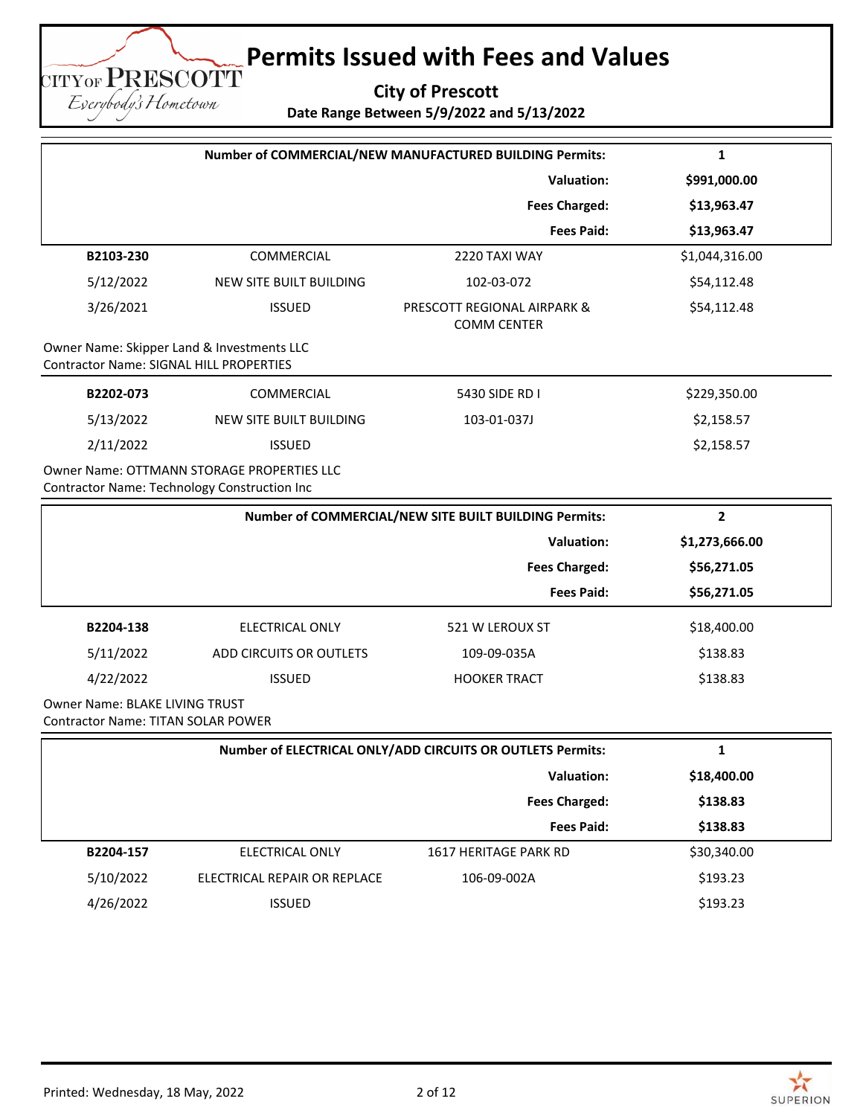**City of Prescott Date Range Between 5/9/2022 and 5/13/2022**

| Number of COMMERCIAL/NEW MANUFACTURED BUILDING Permits:                                      |                                            |                                                   | 1              |
|----------------------------------------------------------------------------------------------|--------------------------------------------|---------------------------------------------------|----------------|
|                                                                                              |                                            | <b>Valuation:</b>                                 | \$991,000.00   |
|                                                                                              |                                            | <b>Fees Charged:</b>                              | \$13,963.47    |
|                                                                                              |                                            | <b>Fees Paid:</b>                                 | \$13,963.47    |
| B2103-230                                                                                    | <b>COMMERCIAL</b>                          | 2220 TAXI WAY                                     | \$1,044,316.00 |
| 5/12/2022                                                                                    | <b>NEW SITE BUILT BUILDING</b>             | 102-03-072                                        | \$54,112.48    |
| 3/26/2021                                                                                    | <b>ISSUED</b>                              | PRESCOTT REGIONAL AIRPARK &<br><b>COMM CENTER</b> | \$54,112.48    |
| Owner Name: Skipper Land & Investments LLC<br><b>Contractor Name: SIGNAL HILL PROPERTIES</b> |                                            |                                                   |                |
| B2202-073                                                                                    | <b>COMMERCIAL</b>                          | 5430 SIDE RD I                                    | \$229,350.00   |
| 5/13/2022                                                                                    | NEW SITE BUILT BUILDING                    | 103-01-037J                                       | \$2,158.57     |
| 2/11/2022                                                                                    | <b>ISSUED</b>                              |                                                   | \$2,158.57     |
| Contractor Name: Technology Construction Inc                                                 | Owner Name: OTTMANN STORAGE PROPERTIES LLC |                                                   |                |

|           | Number of COMMERCIAL/NEW SITE BUILT BUILDING Permits: |                      |                |
|-----------|-------------------------------------------------------|----------------------|----------------|
|           | <b>Valuation:</b>                                     |                      | \$1,273,666.00 |
|           |                                                       | <b>Fees Charged:</b> | \$56,271.05    |
|           |                                                       | <b>Fees Paid:</b>    | \$56,271.05    |
| B2204-138 | ELECTRICAL ONLY                                       | 521 W LEROUX ST      | \$18,400.00    |
| 5/11/2022 | ADD CIRCUITS OR OUTLETS                               | 109-09-035A          | \$138.83       |
| 4/22/2022 | <b>ISSUED</b>                                         | <b>HOOKER TRACT</b>  | \$138.83       |
|           |                                                       |                      |                |

Owner Name: BLAKE LIVING TRUST Contractor Name: TITAN SOLAR POWER

**TITYOF PRESCOTT** Eserybody's Hometown

|           | Number of ELECTRICAL ONLY/ADD CIRCUITS OR OUTLETS Permits: |                       | л.          |  |
|-----------|------------------------------------------------------------|-----------------------|-------------|--|
|           | Valuation:                                                 |                       | \$18,400.00 |  |
|           |                                                            | <b>Fees Charged:</b>  | \$138.83    |  |
|           |                                                            | <b>Fees Paid:</b>     | \$138.83    |  |
| B2204-157 | ELECTRICAL ONLY                                            | 1617 HERITAGE PARK RD | \$30,340.00 |  |
| 5/10/2022 | ELECTRICAL REPAIR OR REPLACE                               | 106-09-002A           | \$193.23    |  |
| 4/26/2022 | <b>ISSUED</b>                                              |                       | \$193.23    |  |

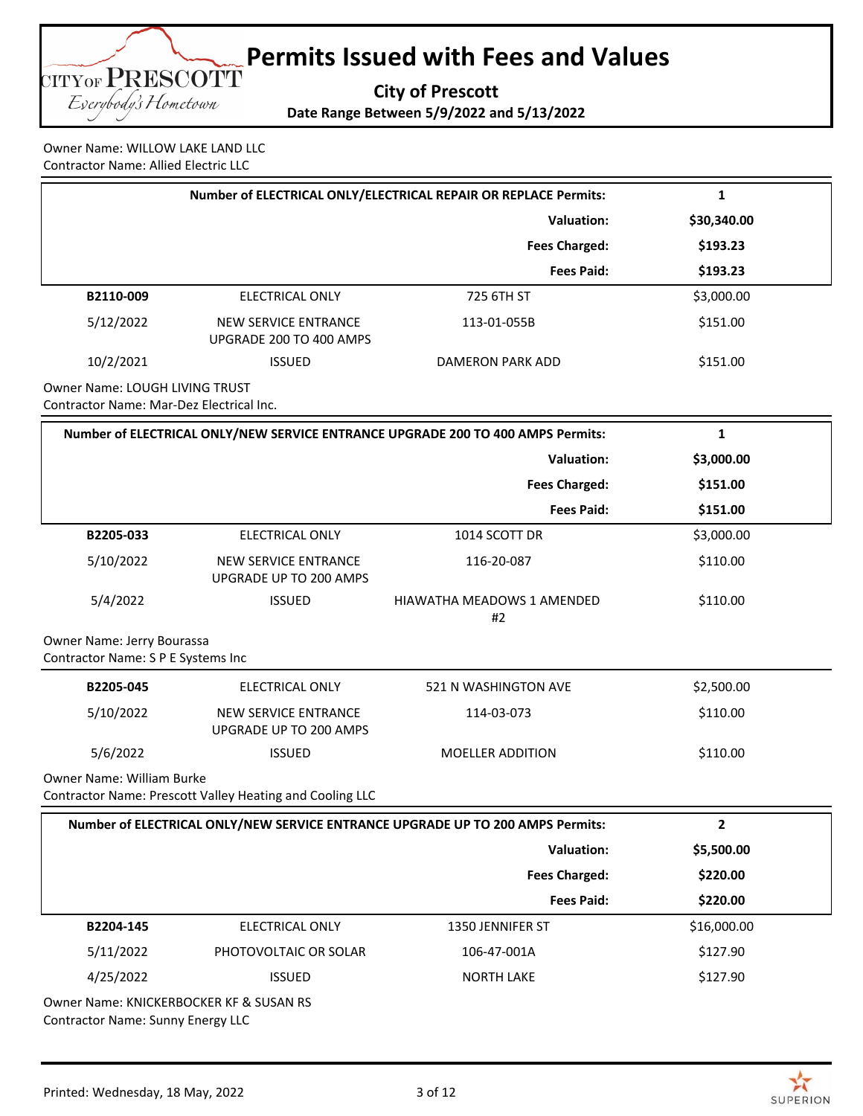

Owner Name: WILLOW LAKE LAND LLC Contractor Name: Allied Electric LLC

| Number of ELECTRICAL ONLY/ELECTRICAL REPAIR OR REPLACE Permits: |                                                 |                      |             |  |
|-----------------------------------------------------------------|-------------------------------------------------|----------------------|-------------|--|
|                                                                 |                                                 | Valuation:           | \$30,340.00 |  |
|                                                                 |                                                 | <b>Fees Charged:</b> | \$193.23    |  |
|                                                                 |                                                 | <b>Fees Paid:</b>    | \$193.23    |  |
| B2110-009                                                       | <b>ELECTRICAL ONLY</b>                          | 725 6TH ST           | \$3,000.00  |  |
| 5/12/2022                                                       | NEW SERVICE ENTRANCE<br>UPGRADE 200 TO 400 AMPS | 113-01-055B          | \$151.00    |  |
| 10/2/2021                                                       | <b>ISSUED</b>                                   | DAMERON PARK ADD     | \$151.00    |  |
| Owner Name: LOUCH LIVING TRUCT                                  |                                                 |                      |             |  |

Owner Name: LOUGH LIVING TRUST Contractor Name: Mar-Dez Electrical Inc.

| Number of ELECTRICAL ONLY/NEW SERVICE ENTRANCE UPGRADE 200 TO 400 AMPS Permits: |                                                          |                                                                                | $\mathbf{1}$ |
|---------------------------------------------------------------------------------|----------------------------------------------------------|--------------------------------------------------------------------------------|--------------|
|                                                                                 |                                                          | <b>Valuation:</b>                                                              | \$3,000.00   |
|                                                                                 |                                                          | <b>Fees Charged:</b>                                                           | \$151.00     |
|                                                                                 |                                                          | <b>Fees Paid:</b>                                                              | \$151.00     |
| B2205-033                                                                       | <b>ELECTRICAL ONLY</b>                                   | 1014 SCOTT DR                                                                  | \$3,000.00   |
| 5/10/2022                                                                       | <b>NEW SERVICE ENTRANCE</b><br>UPGRADE UP TO 200 AMPS    | 116-20-087                                                                     | \$110.00     |
| 5/4/2022                                                                        | <b>ISSUED</b>                                            | <b>HIAWATHA MEADOWS 1 AMENDED</b><br>#2                                        | \$110.00     |
| Owner Name: Jerry Bourassa<br>Contractor Name: S P E Systems Inc                |                                                          |                                                                                |              |
| B2205-045                                                                       | <b>ELECTRICAL ONLY</b>                                   | 521 N WASHINGTON AVE                                                           | \$2,500.00   |
| 5/10/2022                                                                       | <b>NEW SERVICE ENTRANCE</b><br>UPGRADE UP TO 200 AMPS    | 114-03-073                                                                     | \$110.00     |
| 5/6/2022                                                                        | <b>ISSUED</b>                                            | <b>MOELLER ADDITION</b>                                                        | \$110.00     |
| Owner Name: William Burke                                                       | Contractor Name: Prescott Valley Heating and Cooling LLC |                                                                                |              |
|                                                                                 |                                                          | Number of ELECTRICAL ONLY/NEW SERVICE ENTRANCE UPGRADE UP TO 200 AMPS Permits: | $\mathbf{2}$ |
|                                                                                 |                                                          | <b>Valuation:</b>                                                              | \$5,500.00   |
|                                                                                 |                                                          | <b>Fees Charged:</b>                                                           | \$220.00     |
|                                                                                 |                                                          | <b>Fees Paid:</b>                                                              | \$220.00     |
| B2204-145                                                                       | <b>ELECTRICAL ONLY</b>                                   | 1350 JENNIFER ST                                                               | \$16,000.00  |
| 5/11/2022                                                                       | PHOTOVOLTAIC OR SOLAR                                    | 106-47-001A                                                                    | \$127.90     |
| 4/25/2022                                                                       | <b>ISSUED</b>                                            | <b>NORTH LAKE</b>                                                              | \$127.90     |

Owner Name: KNICKERBOCKER KF & SUSAN RS Contractor Name: Sunny Energy LLC

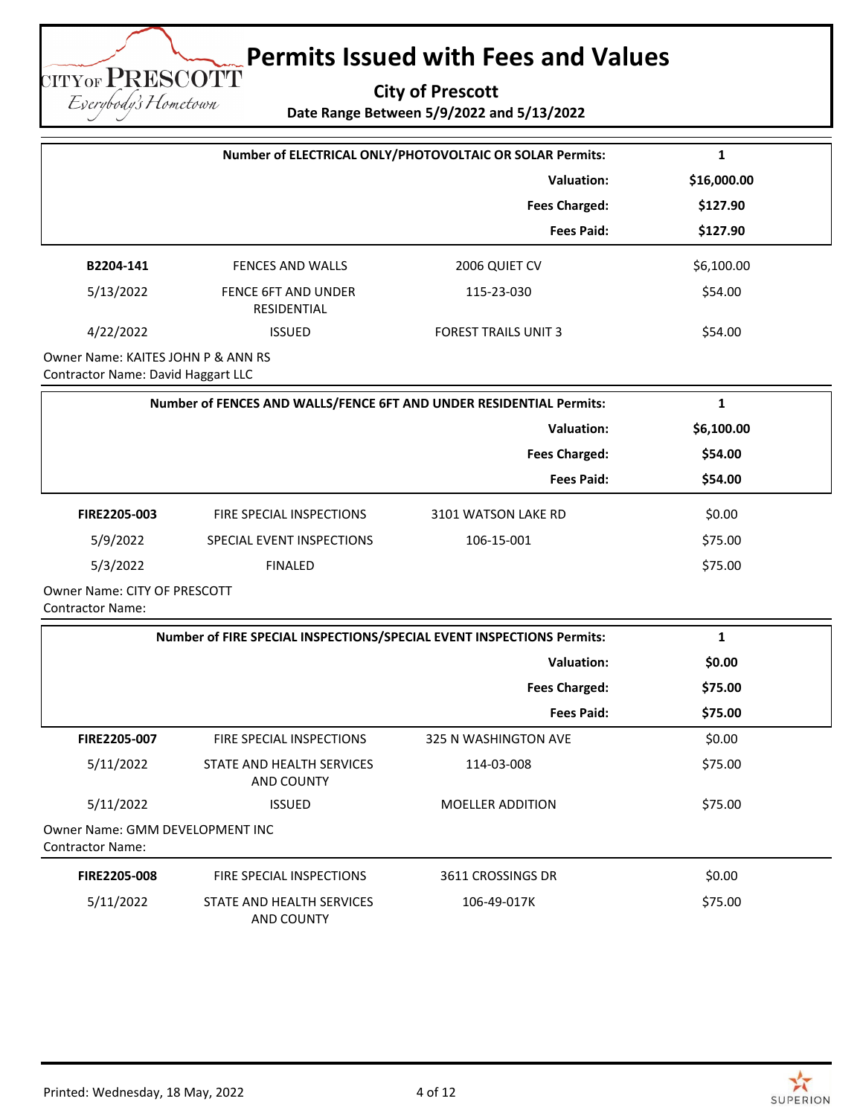**City of Prescott**

**Date Range Between 5/9/2022 and 5/13/2022**

|                                                                          |                                                                       | Number of ELECTRICAL ONLY/PHOTOVOLTAIC OR SOLAR Permits: | 1            |
|--------------------------------------------------------------------------|-----------------------------------------------------------------------|----------------------------------------------------------|--------------|
|                                                                          |                                                                       | <b>Valuation:</b>                                        | \$16,000.00  |
|                                                                          |                                                                       | <b>Fees Charged:</b>                                     | \$127.90     |
|                                                                          |                                                                       | <b>Fees Paid:</b>                                        | \$127.90     |
| B2204-141                                                                | FENCES AND WALLS                                                      | 2006 QUIET CV                                            | \$6,100.00   |
| 5/13/2022                                                                | FENCE 6FT AND UNDER<br>RESIDENTIAL                                    | 115-23-030                                               | \$54.00      |
| 4/22/2022                                                                | <b>ISSUED</b>                                                         | <b>FOREST TRAILS UNIT 3</b>                              | \$54.00      |
| Owner Name: KAITES JOHN P & ANN RS<br>Contractor Name: David Haggart LLC |                                                                       |                                                          |              |
|                                                                          | Number of FENCES AND WALLS/FENCE 6FT AND UNDER RESIDENTIAL Permits:   |                                                          | $\mathbf{1}$ |
|                                                                          |                                                                       | <b>Valuation:</b>                                        | \$6,100.00   |
|                                                                          |                                                                       | <b>Fees Charged:</b>                                     | \$54.00      |
|                                                                          |                                                                       | <b>Fees Paid:</b>                                        | \$54.00      |
| FIRE2205-003                                                             | FIRE SPECIAL INSPECTIONS                                              | 3101 WATSON LAKE RD                                      | \$0.00       |
| 5/9/2022                                                                 | SPECIAL EVENT INSPECTIONS                                             | 106-15-001                                               | \$75.00      |
| 5/3/2022                                                                 | <b>FINALED</b>                                                        |                                                          | \$75.00      |
| Owner Name: CITY OF PRESCOTT<br><b>Contractor Name:</b>                  |                                                                       |                                                          |              |
|                                                                          | Number of FIRE SPECIAL INSPECTIONS/SPECIAL EVENT INSPECTIONS Permits: |                                                          | $\mathbf{1}$ |
|                                                                          |                                                                       | <b>Valuation:</b>                                        | \$0.00       |
|                                                                          |                                                                       | <b>Fees Charged:</b>                                     | \$75.00      |
|                                                                          |                                                                       | <b>Fees Paid:</b>                                        | \$75.00      |
| FIRE2205-007                                                             | FIRE SPECIAL INSPECTIONS                                              | 325 N WASHINGTON AVE                                     | \$0.00       |
| 5/11/2022                                                                | STATE AND HEALTH SERVICES<br>AND COUNTY                               | 114-03-008                                               | \$75.00      |
| 5/11/2022                                                                | <b>ISSUED</b>                                                         | MOELLER ADDITION                                         | \$75.00      |
| <b>Owner Name: GMM DEVELOPMENT INC</b><br><b>Contractor Name:</b>        |                                                                       |                                                          |              |
| FIRE2205-008                                                             | FIRE SPECIAL INSPECTIONS                                              | 3611 CROSSINGS DR                                        | \$0.00       |
| 5/11/2022                                                                | STATE AND HEALTH SERVICES<br><b>AND COUNTY</b>                        | 106-49-017K                                              | \$75.00      |



**TITYOF PRESCOTT** Eserybody's Hometown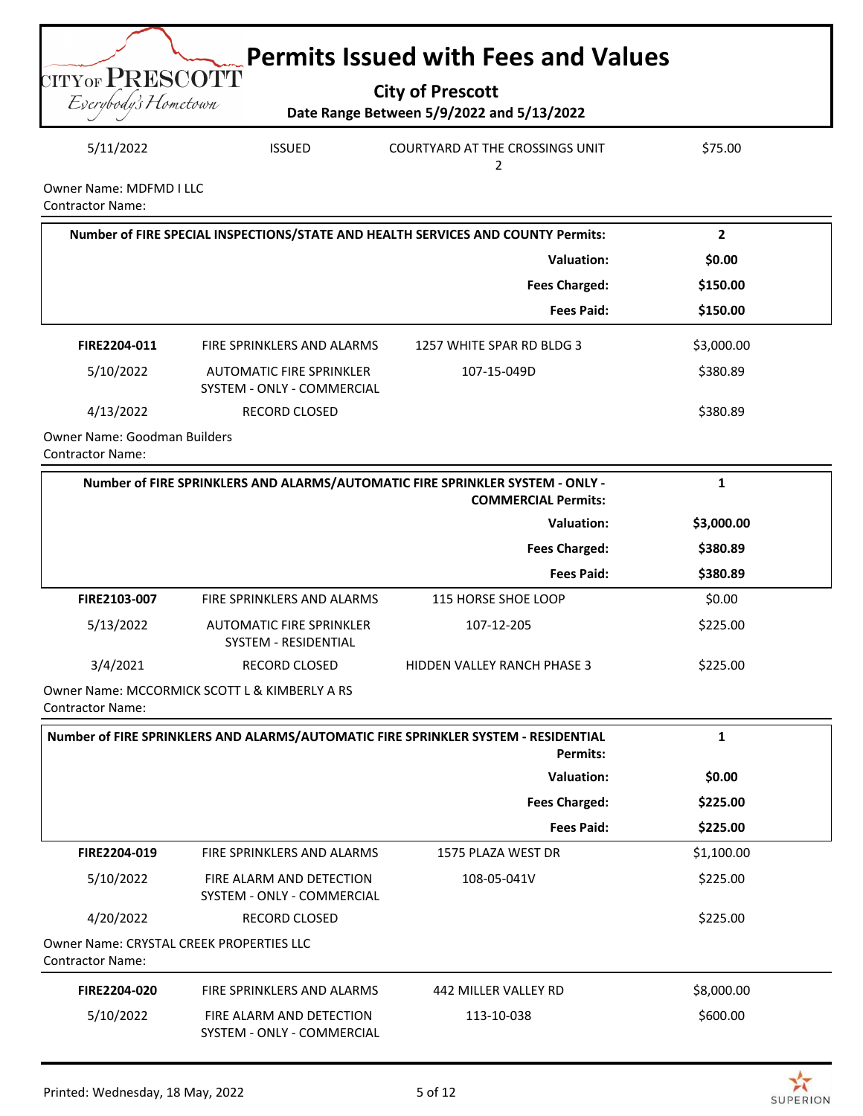

| 5/11/2022 | <b>ISSUED</b> | COURTYARD AT THE CROSSINGS UNIT | \$75.00 |
|-----------|---------------|---------------------------------|---------|
|           |               |                                 |         |

Owner Name: MDFMD I LLC Contractor Name:

|                                               | Number of FIRE SPECIAL INSPECTIONS/STATE AND HEALTH SERVICES AND COUNTY Permits: |                           |            |
|-----------------------------------------------|----------------------------------------------------------------------------------|---------------------------|------------|
|                                               | Valuation:                                                                       |                           | \$0.00     |
|                                               |                                                                                  | <b>Fees Charged:</b>      | \$150.00   |
|                                               |                                                                                  | <b>Fees Paid:</b>         | \$150.00   |
| FIRE2204-011                                  | FIRE SPRINKLERS AND ALARMS                                                       | 1257 WHITE SPAR RD BLDG 3 | \$3,000.00 |
| 5/10/2022                                     | AUTOMATIC FIRE SPRINKLER<br>SYSTEM - ONLY - COMMERCIAL                           | 107-15-049D               | \$380.89   |
| 4/13/2022                                     | <b>RECORD CLOSED</b>                                                             |                           | \$380.89   |
| Orange at Menter of the discussion Dubble and |                                                                                  |                           |            |

Owner Name: Goodman Builders Contractor Name:

| Number of FIRE SPRINKLERS AND ALARMS/AUTOMATIC FIRE SPRINKLER SYSTEM - ONLY -<br><b>COMMERCIAL Permits:</b> |                                                         |                                    |            |  |
|-------------------------------------------------------------------------------------------------------------|---------------------------------------------------------|------------------------------------|------------|--|
|                                                                                                             |                                                         | <b>Valuation:</b>                  | \$3,000.00 |  |
|                                                                                                             |                                                         | <b>Fees Charged:</b>               | \$380.89   |  |
|                                                                                                             |                                                         | <b>Fees Paid:</b>                  | \$380.89   |  |
| <b>FIRE2103-007</b>                                                                                         | FIRE SPRINKLERS AND ALARMS                              | 115 HORSE SHOE LOOP                | \$0.00     |  |
| 5/13/2022                                                                                                   | AUTOMATIC FIRE SPRINKLER<br><b>SYSTEM - RESIDENTIAL</b> | 107-12-205                         | \$225.00   |  |
| 3/4/2021                                                                                                    | <b>RECORD CLOSED</b>                                    | <b>HIDDEN VALLEY RANCH PHASE 3</b> | \$225.00   |  |
| Owner Name: MCCORMICK SCOTT L & KIMBERLY A RS                                                               |                                                         |                                    |            |  |

Contractor Name:

| Number of FIRE SPRINKLERS AND ALARMS/AUTOMATIC FIRE SPRINKLER SYSTEM - RESIDENTIAL<br><b>Permits:</b> |                                                        |                      | 1          |  |
|-------------------------------------------------------------------------------------------------------|--------------------------------------------------------|----------------------|------------|--|
|                                                                                                       |                                                        | Valuation:           | \$0.00     |  |
|                                                                                                       |                                                        | <b>Fees Charged:</b> | \$225.00   |  |
|                                                                                                       |                                                        | <b>Fees Paid:</b>    | \$225.00   |  |
| FIRE2204-019                                                                                          | FIRE SPRINKLERS AND ALARMS                             | 1575 PLAZA WEST DR   | \$1,100.00 |  |
| 5/10/2022                                                                                             | FIRE ALARM AND DETECTION<br>SYSTEM - ONLY - COMMERCIAL | 108-05-041V          | \$225.00   |  |
| 4/20/2022                                                                                             | <b>RECORD CLOSED</b>                                   |                      | \$225.00   |  |
| <b>Owner Name: CRYSTAL CREEK PROPERTIES LLC</b><br><b>Contractor Name:</b>                            |                                                        |                      |            |  |
| FIRE2204-020                                                                                          | FIRE SPRINKLERS AND ALARMS                             | 442 MILLER VALLEY RD | \$8,000.00 |  |
| 5/10/2022                                                                                             | FIRE ALARM AND DETECTION<br>SYSTEM - ONLY - COMMERCIAL | 113-10-038           | \$600.00   |  |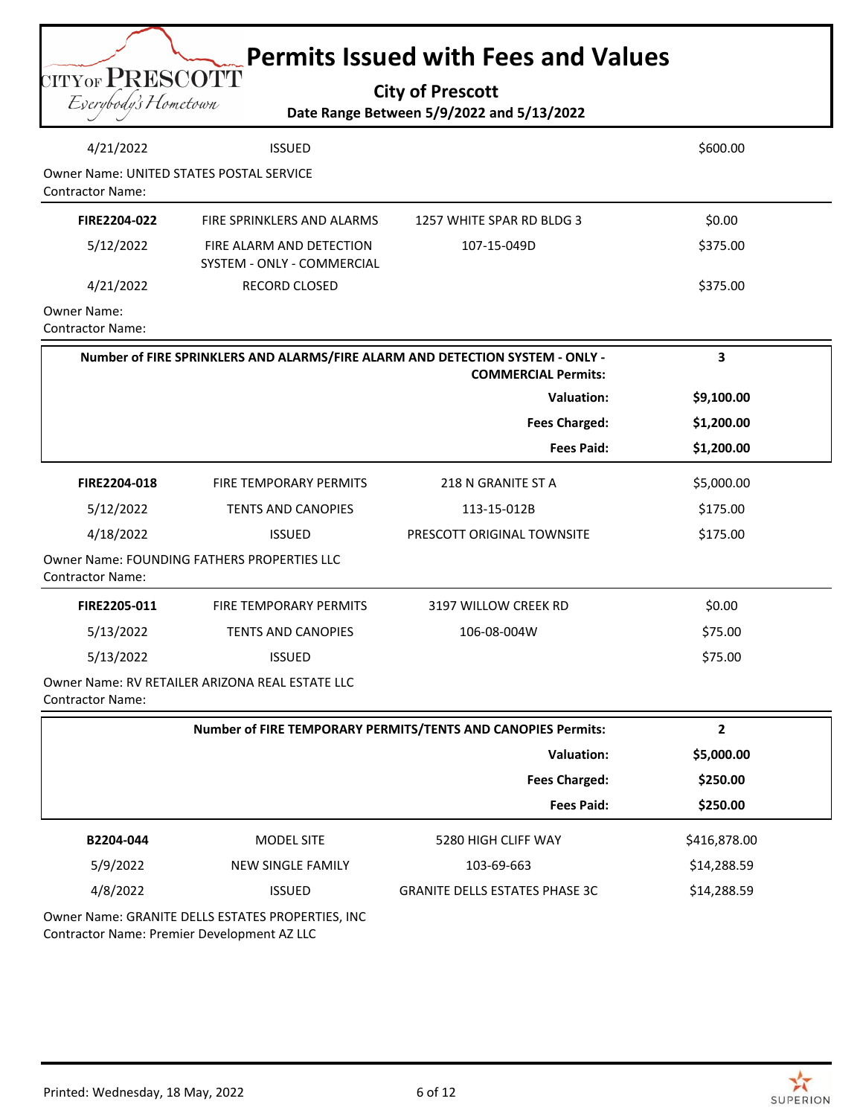|  |  | <b>City of Prescott</b> |
|--|--|-------------------------|
|--|--|-------------------------|

CITY OF PRESCOTT

## **Date Range Between 5/9/2022 and 5/13/2022**

|                                               |                                                        | Date Range Between 5/9/2022 and 5/13/2022                                                                   |                |
|-----------------------------------------------|--------------------------------------------------------|-------------------------------------------------------------------------------------------------------------|----------------|
| 4/21/2022                                     | <b>ISSUED</b>                                          |                                                                                                             | \$600.00       |
| <b>Contractor Name:</b>                       | Owner Name: UNITED STATES POSTAL SERVICE               |                                                                                                             |                |
| FIRE2204-022                                  | FIRE SPRINKLERS AND ALARMS                             | 1257 WHITE SPAR RD BLDG 3                                                                                   | \$0.00         |
| 5/12/2022                                     | FIRE ALARM AND DETECTION<br>SYSTEM - ONLY - COMMERCIAL | 107-15-049D                                                                                                 | \$375.00       |
| 4/21/2022                                     | RECORD CLOSED                                          |                                                                                                             | \$375.00       |
| <b>Owner Name:</b><br><b>Contractor Name:</b> |                                                        |                                                                                                             |                |
|                                               |                                                        | Number of FIRE SPRINKLERS AND ALARMS/FIRE ALARM AND DETECTION SYSTEM - ONLY -<br><b>COMMERCIAL Permits:</b> | 3              |
|                                               |                                                        | <b>Valuation:</b>                                                                                           | \$9,100.00     |
|                                               |                                                        | <b>Fees Charged:</b>                                                                                        | \$1,200.00     |
|                                               |                                                        | <b>Fees Paid:</b>                                                                                           | \$1,200.00     |
| FIRE2204-018                                  | FIRE TEMPORARY PERMITS                                 | 218 N GRANITE ST A                                                                                          | \$5,000.00     |
| 5/12/2022                                     | <b>TENTS AND CANOPIES</b>                              | 113-15-012B                                                                                                 | \$175.00       |
| 4/18/2022                                     | <b>ISSUED</b>                                          | PRESCOTT ORIGINAL TOWNSITE                                                                                  | \$175.00       |
| <b>Contractor Name:</b>                       | Owner Name: FOUNDING FATHERS PROPERTIES LLC            |                                                                                                             |                |
| FIRE2205-011                                  | <b>FIRE TEMPORARY PERMITS</b>                          | 3197 WILLOW CREEK RD                                                                                        | \$0.00         |
| 5/13/2022                                     | <b>TENTS AND CANOPIES</b>                              | 106-08-004W                                                                                                 | \$75.00        |
| 5/13/2022                                     | <b>ISSUED</b>                                          |                                                                                                             | \$75.00        |
| <b>Contractor Name:</b>                       | Owner Name: RV RETAILER ARIZONA REAL ESTATE LLC        |                                                                                                             |                |
|                                               |                                                        | Number of FIRE TEMPORARY PERMITS/TENTS AND CANOPIES Permits:                                                | $\overline{2}$ |
|                                               |                                                        | <b>Valuation:</b>                                                                                           | \$5,000.00     |
|                                               |                                                        | <b>Fees Charged:</b>                                                                                        | \$250.00       |
|                                               |                                                        | <b>Fees Paid:</b>                                                                                           | \$250.00       |
| B2204-044                                     | MODEL SITE                                             | 5280 HIGH CLIFF WAY                                                                                         | \$416,878.00   |
| 5/9/2022                                      | <b>NEW SINGLE FAMILY</b>                               | 103-69-663                                                                                                  | \$14,288.59    |
| 4/8/2022                                      | <b>ISSUED</b>                                          | <b>GRANITE DELLS ESTATES PHASE 3C</b>                                                                       | \$14,288.59    |
|                                               |                                                        |                                                                                                             |                |

Owner Name: GRANITE DELLS ESTATES PROPERTIES, INC Contractor Name: Premier Development AZ LLC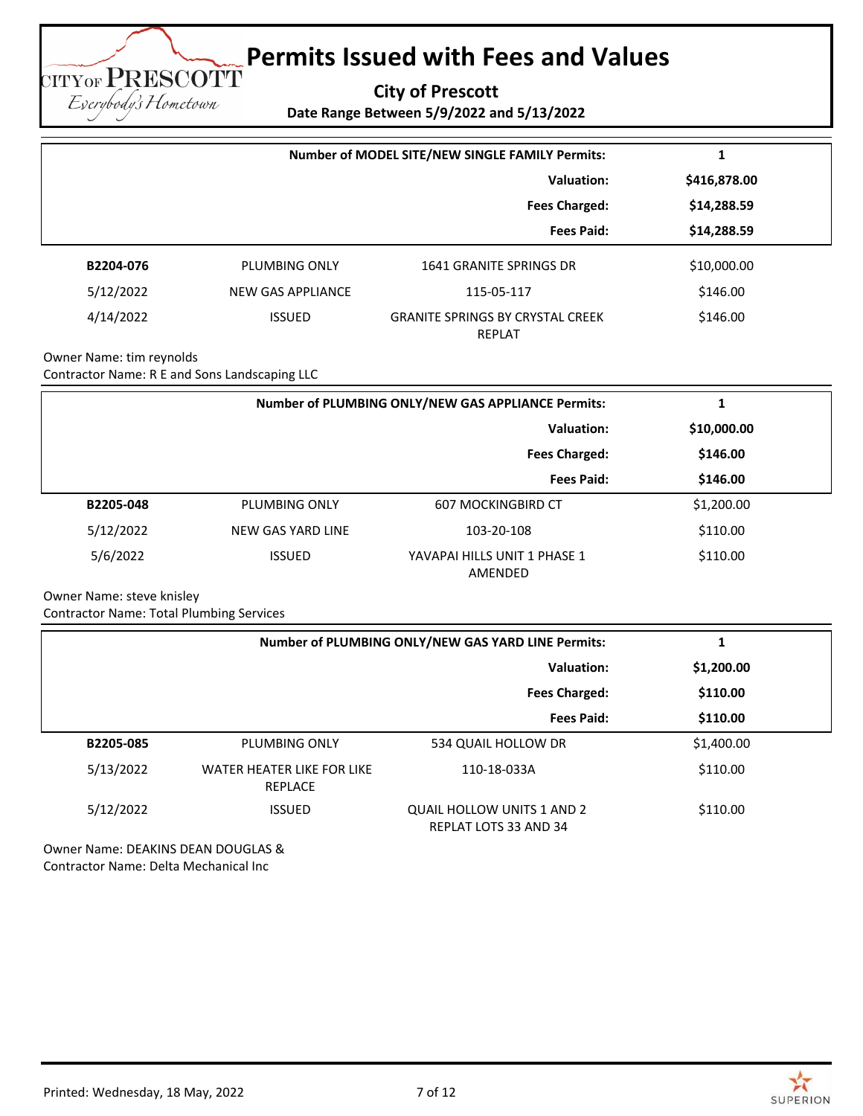**City of Prescott**

**Date Range Between 5/9/2022 and 5/13/2022**

|           | Number of MODEL SITE/NEW SINGLE FAMILY Permits: |                                                   |              |
|-----------|-------------------------------------------------|---------------------------------------------------|--------------|
|           | Valuation:                                      |                                                   | \$416,878.00 |
|           |                                                 | <b>Fees Charged:</b>                              | \$14,288.59  |
|           |                                                 | <b>Fees Paid:</b>                                 | \$14,288.59  |
| B2204-076 | PLUMBING ONLY                                   | 1641 GRANITE SPRINGS DR                           | \$10,000.00  |
| 5/12/2022 | NEW GAS APPLIANCE                               | 115-05-117                                        | \$146.00     |
| 4/14/2022 | <b>ISSUED</b>                                   | <b>GRANITE SPRINGS BY CRYSTAL CREEK</b><br>REPLAT | \$146.00     |

Owner Name: tim reynolds Contractor Name: R E and Sons Landscaping LLC

**CITYOF PRESCOTT** Eserybody's Hometown

|           | Number of PLUMBING ONLY/NEW GAS APPLIANCE Permits: |                                         |             |
|-----------|----------------------------------------------------|-----------------------------------------|-------------|
|           | Valuation:                                         |                                         | \$10,000.00 |
|           |                                                    | <b>Fees Charged:</b>                    | \$146.00    |
|           |                                                    | <b>Fees Paid:</b>                       | \$146.00    |
| B2205-048 | PLUMBING ONLY                                      | <b>607 MOCKINGBIRD CT</b>               | \$1,200.00  |
| 5/12/2022 | NEW GAS YARD LINE                                  | 103-20-108                              | \$110.00    |
| 5/6/2022  | <b>ISSUED</b>                                      | YAVAPAI HILLS UNIT 1 PHASE 1<br>AMENDED | \$110.00    |

Owner Name: steve knisley

Contractor Name: Total Plumbing Services

|           | Number of PLUMBING ONLY/NEW GAS YARD LINE Permits: |                                                            |            |
|-----------|----------------------------------------------------|------------------------------------------------------------|------------|
|           |                                                    | Valuation:                                                 | \$1,200.00 |
|           |                                                    | <b>Fees Charged:</b>                                       | \$110.00   |
|           |                                                    | <b>Fees Paid:</b>                                          | \$110.00   |
| B2205-085 | <b>PLUMBING ONLY</b>                               | 534 QUAIL HOLLOW DR                                        | \$1,400.00 |
| 5/13/2022 | WATER HEATER LIKE FOR LIKE<br><b>REPLACE</b>       | 110-18-033A                                                | \$110.00   |
| 5/12/2022 | <b>ISSUED</b>                                      | QUAIL HOLLOW UNITS 1 AND 2<br><b>REPLAT LOTS 33 AND 34</b> | \$110.00   |

Owner Name: DEAKINS DEAN DOUGLAS & Contractor Name: Delta Mechanical Inc

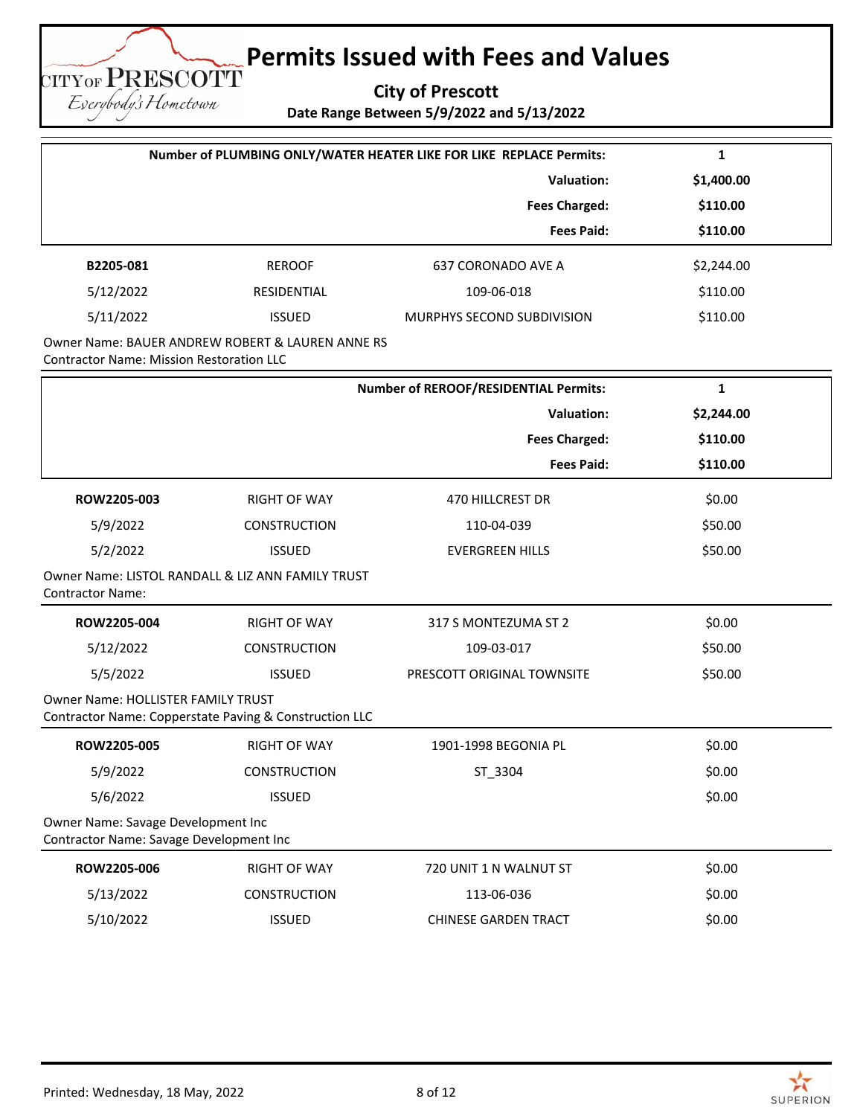**City of Prescott Date Range Between 5/9/2022 and 5/13/2022**

| Number of PLUMBING ONLY/WATER HEATER LIKE FOR LIKE REPLACE Permits:                                 |                     |                                              | 1            |
|-----------------------------------------------------------------------------------------------------|---------------------|----------------------------------------------|--------------|
|                                                                                                     |                     | Valuation:                                   | \$1,400.00   |
|                                                                                                     |                     | <b>Fees Charged:</b>                         | \$110.00     |
|                                                                                                     |                     | <b>Fees Paid:</b>                            | \$110.00     |
| B2205-081                                                                                           | <b>REROOF</b>       | <b>637 CORONADO AVE A</b>                    | \$2,244.00   |
| 5/12/2022                                                                                           | RESIDENTIAL         | 109-06-018                                   | \$110.00     |
| 5/11/2022                                                                                           | <b>ISSUED</b>       | MURPHYS SECOND SUBDIVISION                   | \$110.00     |
| Owner Name: BAUER ANDREW ROBERT & LAUREN ANNE RS<br><b>Contractor Name: Mission Restoration LLC</b> |                     |                                              |              |
|                                                                                                     |                     | <b>Number of REROOF/RESIDENTIAL Permits:</b> | $\mathbf{1}$ |
|                                                                                                     |                     | <b>Valuation:</b>                            | \$2,244.00   |
|                                                                                                     |                     | <b>Fees Charged:</b>                         | \$110.00     |
|                                                                                                     |                     | <b>Fees Paid:</b>                            | \$110.00     |
| ROW2205-003                                                                                         | <b>RIGHT OF WAY</b> | 470 HILLCREST DR                             | \$0.00       |
| 5/9/2022                                                                                            | CONSTRUCTION        | 110-04-039                                   | \$50.00      |
| 5/2/2022                                                                                            | <b>ISSUED</b>       | <b>EVERGREEN HILLS</b>                       | \$50.00      |
| Owner Name: LISTOL RANDALL & LIZ ANN FAMILY TRUST<br><b>Contractor Name:</b>                        |                     |                                              |              |
| ROW2205-004                                                                                         | <b>RIGHT OF WAY</b> | 317 S MONTEZUMA ST 2                         | \$0.00       |
| 5/12/2022                                                                                           | <b>CONSTRUCTION</b> | 109-03-017                                   | \$50.00      |
| 5/5/2022                                                                                            | <b>ISSUED</b>       | PRESCOTT ORIGINAL TOWNSITE                   | \$50.00      |
| Owner Name: HOLLISTER FAMILY TRUST<br>Contractor Name: Copperstate Paving & Construction LLC        |                     |                                              |              |
| ROW2205-005                                                                                         | <b>RIGHT OF WAY</b> | 1901-1998 BEGONIA PL                         | \$0.00       |
| 5/9/2022                                                                                            | <b>CONSTRUCTION</b> | ST_3304                                      | \$0.00       |
| 5/6/2022                                                                                            | <b>ISSUED</b>       |                                              | \$0.00       |
| Owner Name: Savage Development Inc<br>Contractor Name: Savage Development Inc                       |                     |                                              |              |
| ROW2205-006                                                                                         | <b>RIGHT OF WAY</b> | 720 UNIT 1 N WALNUT ST                       | \$0.00       |
| 5/13/2022                                                                                           | CONSTRUCTION        | 113-06-036                                   | \$0.00       |
| 5/10/2022                                                                                           | <b>ISSUED</b>       | <b>CHINESE GARDEN TRACT</b>                  | \$0.00       |

CITYOF PRESCOTT Eserybody's Hometown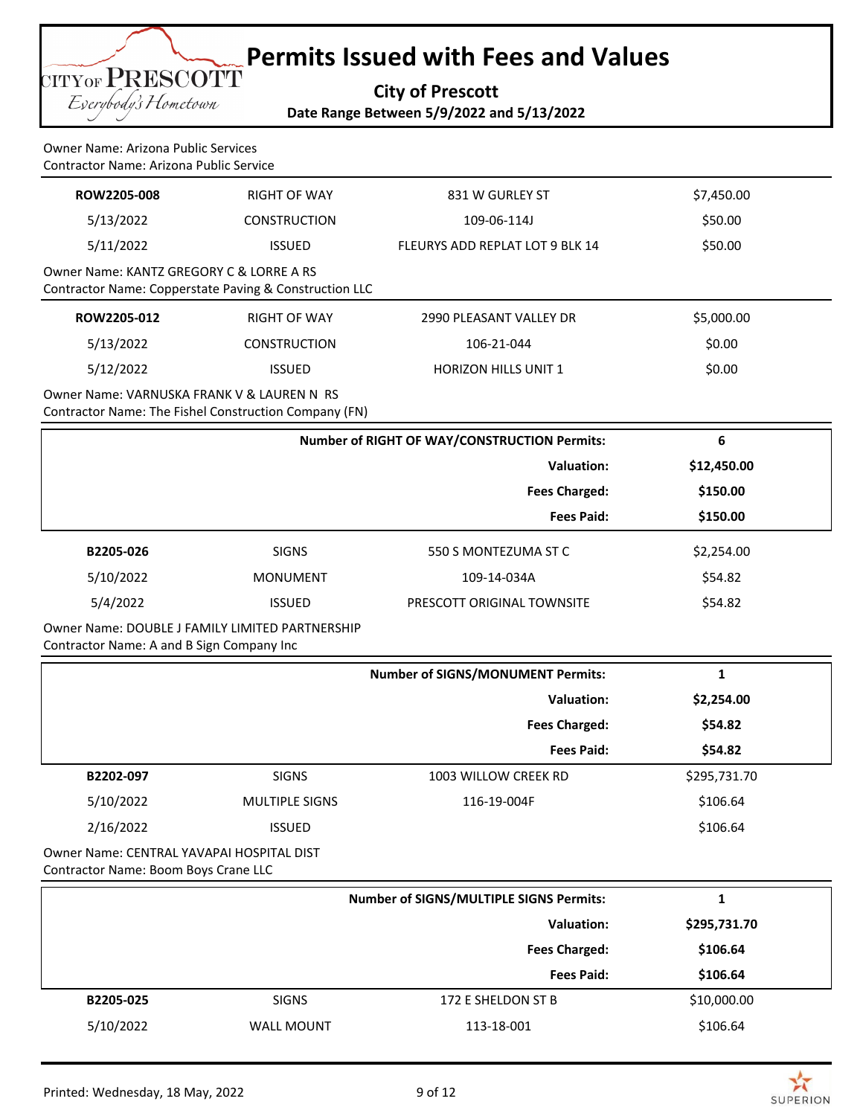**City of Prescott Date Range Between 5/9/2022 and 5/13/2022**

Owner Name: Arizona Public Services Contractor Name: Arizona Public Service

**TITYOF PRESCOTT** Everybody's Hometown

| ROW2205-008                              | RIGHT OF WAY                                           | 831 W GURLEY ST                 | \$7,450.00 |  |
|------------------------------------------|--------------------------------------------------------|---------------------------------|------------|--|
| 5/13/2022                                | <b>CONSTRUCTION</b>                                    | 109-06-114J                     | \$50.00    |  |
| 5/11/2022                                | <b>ISSUED</b>                                          | FLEURYS ADD REPLAT LOT 9 BLK 14 | \$50.00    |  |
| Owner Name: KANTZ GREGORY C & LORRE A RS | Contractor Name: Copperstate Paving & Construction LLC |                                 |            |  |
| ROW2205-012                              | <b>RIGHT OF WAY</b>                                    | 2990 PLEASANT VALLEY DR         | \$5,000.00 |  |
| 5/13/2022                                | <b>CONSTRUCTION</b>                                    | 106-21-044                      | \$0.00     |  |
| 5/12/2022                                | <b>ISSUED</b>                                          | <b>HORIZON HILLS UNIT 1</b>     | \$0.00     |  |
|                                          |                                                        |                                 |            |  |

Owner Name: VARNUSKA FRANK V & LAUREN N RS Contractor Name: The Fishel Construction Company (FN)

|           |               | <b>Number of RIGHT OF WAY/CONSTRUCTION Permits:</b> | 6           |
|-----------|---------------|-----------------------------------------------------|-------------|
|           |               | <b>Valuation:</b>                                   | \$12,450.00 |
|           |               | <b>Fees Charged:</b>                                | \$150.00    |
|           |               | <b>Fees Paid:</b>                                   | \$150.00    |
| B2205-026 | <b>SIGNS</b>  | 550 S MONTEZUMA ST C                                | \$2,254.00  |
| 5/10/2022 | MONUMENT      | 109-14-034A                                         | \$54.82     |
| 5/4/2022  | <b>ISSUED</b> | PRESCOTT ORIGINAL TOWNSITE                          | \$54.82     |

Owner Name: DOUBLE J FAMILY LIMITED PARTNERSHIP Contractor Name: A and B Sign Company Inc

|                                           |                       | <b>Number of SIGNS/MONUMENT Permits:</b> |              |
|-------------------------------------------|-----------------------|------------------------------------------|--------------|
|                                           |                       | <b>Valuation:</b>                        | \$2,254.00   |
|                                           |                       | <b>Fees Charged:</b>                     | \$54.82      |
|                                           |                       | <b>Fees Paid:</b>                        | \$54.82      |
| B2202-097                                 | <b>SIGNS</b>          | 1003 WILLOW CREEK RD                     | \$295,731.70 |
| 5/10/2022                                 | <b>MULTIPLE SIGNS</b> | 116-19-004F                              | \$106.64     |
| 2/16/2022                                 | <b>ISSUED</b>         |                                          | \$106.64     |
| Owner Name: CENTRAL YAVAPAI HOSPITAL DIST |                       |                                          |              |

Contractor Name: Boom Boys Crane LLC

|           |                   | Number of SIGNS/MULTIPLE SIGNS Permits: | л.           |  |
|-----------|-------------------|-----------------------------------------|--------------|--|
|           |                   | <b>Valuation:</b>                       | \$295,731.70 |  |
|           |                   | <b>Fees Charged:</b>                    | \$106.64     |  |
|           |                   | <b>Fees Paid:</b>                       | \$106.64     |  |
| B2205-025 | <b>SIGNS</b>      | 172 E SHELDON ST B                      | \$10,000.00  |  |
| 5/10/2022 | <b>WALL MOUNT</b> | 113-18-001                              | \$106.64     |  |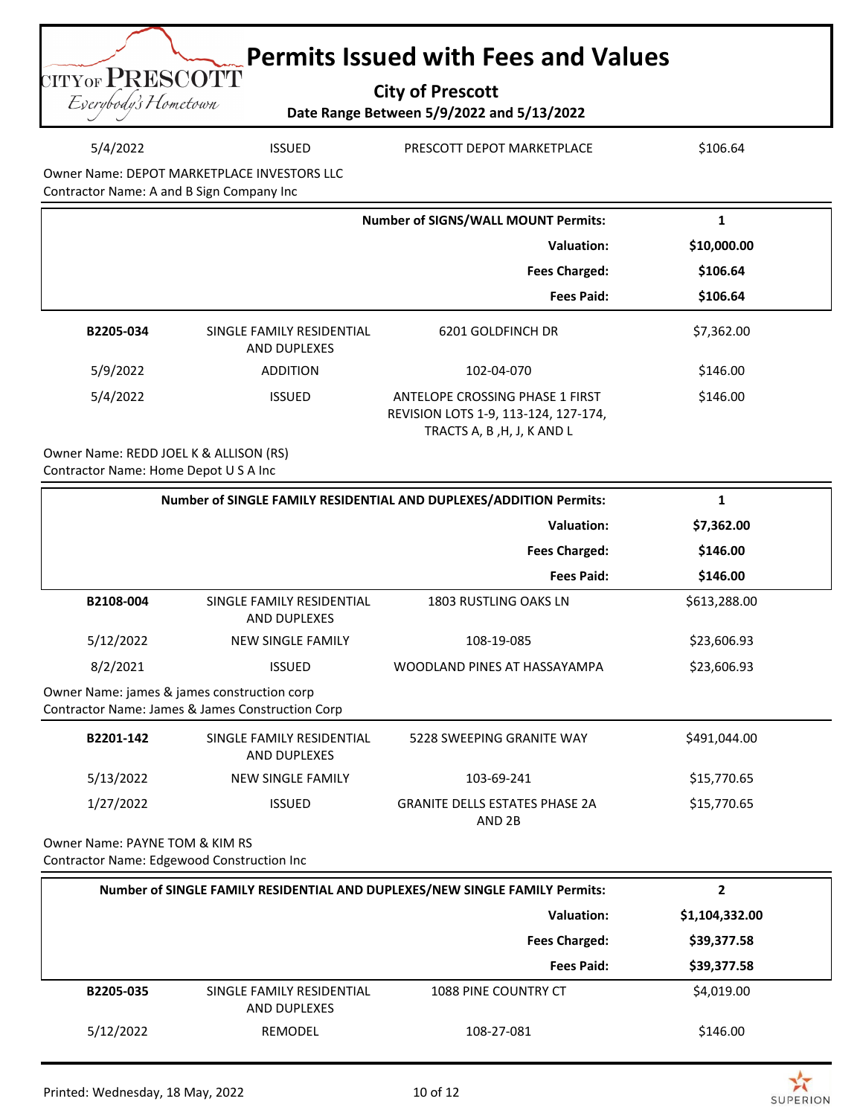| <b>Example 2 Permits Issued with Fees and Values</b>                      |
|---------------------------------------------------------------------------|
| <b>UITYOF PRESCOTT</b><br><b>City of Prescott</b><br>Everybody's Hometown |
| Date Range Between 5/9/2022 and 5/13/2022                                 |

| 5/4/2022                                    | <b>ISSUED</b> | PRESCOTT DEPOT MARKETPLACE | \$106.64 |
|---------------------------------------------|---------------|----------------------------|----------|
| Owner Name: DEPOT MARKETPLACE INVESTORS LLC |               |                            |          |

Contractor Name: A and B Sign Company Inc

|           |                                           | <b>Number of SIGNS/WALL MOUNT Permits:</b>                                                            | 1           |
|-----------|-------------------------------------------|-------------------------------------------------------------------------------------------------------|-------------|
|           |                                           | Valuation:                                                                                            | \$10,000.00 |
|           |                                           | <b>Fees Charged:</b>                                                                                  | \$106.64    |
|           |                                           | <b>Fees Paid:</b>                                                                                     | \$106.64    |
| B2205-034 | SINGLE FAMILY RESIDENTIAL<br>AND DUPLEXES | 6201 GOLDFINCH DR                                                                                     | \$7,362.00  |
| 5/9/2022  | <b>ADDITION</b>                           | 102-04-070                                                                                            | \$146.00    |
| 5/4/2022  | <b>ISSUED</b>                             | ANTELOPE CROSSING PHASE 1 FIRST<br>REVISION LOTS 1-9, 113-124, 127-174,<br>TRACTS A, B, H, J, K AND L | \$146.00    |

Owner Name: REDD JOEL K & ALLISON (RS) Contractor Name: Home Depot U S A Inc

|                                                                              | Number of SINGLE FAMILY RESIDENTIAL AND DUPLEXES/ADDITION Permits: |                                                 | 1            |
|------------------------------------------------------------------------------|--------------------------------------------------------------------|-------------------------------------------------|--------------|
|                                                                              |                                                                    | <b>Valuation:</b>                               | \$7,362.00   |
|                                                                              |                                                                    | <b>Fees Charged:</b>                            | \$146.00     |
|                                                                              |                                                                    | <b>Fees Paid:</b>                               | \$146.00     |
| B2108-004                                                                    | SINGLE FAMILY RESIDENTIAL<br>AND DUPLEXES                          | <b>1803 RUSTLING OAKS LN</b>                    | \$613,288.00 |
| 5/12/2022                                                                    | <b>NEW SINGLE FAMILY</b>                                           | 108-19-085                                      | \$23,606.93  |
| 8/2/2021                                                                     | <b>ISSUED</b>                                                      | WOODLAND PINES AT HASSAYAMPA                    | \$23,606.93  |
| Owner Name: james & james construction corp                                  | Contractor Name: James & James Construction Corp                   |                                                 |              |
| B2201-142                                                                    | SINGLE FAMILY RESIDENTIAL<br><b>AND DUPLEXES</b>                   | 5228 SWEEPING GRANITE WAY                       | \$491,044.00 |
| 5/13/2022                                                                    | <b>NEW SINGLE FAMILY</b>                                           | 103-69-241                                      | \$15,770.65  |
| 1/27/2022                                                                    | <b>ISSUED</b>                                                      | <b>GRANITE DELLS ESTATES PHASE 2A</b><br>AND 2B | \$15,770.65  |
| Owner Name: PAYNE TOM & KIM RS<br>Contractor Name: Edgewood Construction Inc |                                                                    |                                                 |              |

|           | Number of SINGLE FAMILY RESIDENTIAL AND DUPLEXES/NEW SINGLE FAMILY Permits: |                      | 2              |
|-----------|-----------------------------------------------------------------------------|----------------------|----------------|
|           |                                                                             | Valuation:           | \$1,104,332.00 |
|           |                                                                             | <b>Fees Charged:</b> | \$39,377.58    |
|           |                                                                             | <b>Fees Paid:</b>    | \$39,377.58    |
| B2205-035 | SINGLE FAMILY RESIDENTIAL<br><b>AND DUPLEXES</b>                            | 1088 PINE COUNTRY CT | \$4,019.00     |
| 5/12/2022 | REMODEL                                                                     | 108-27-081           | \$146.00       |

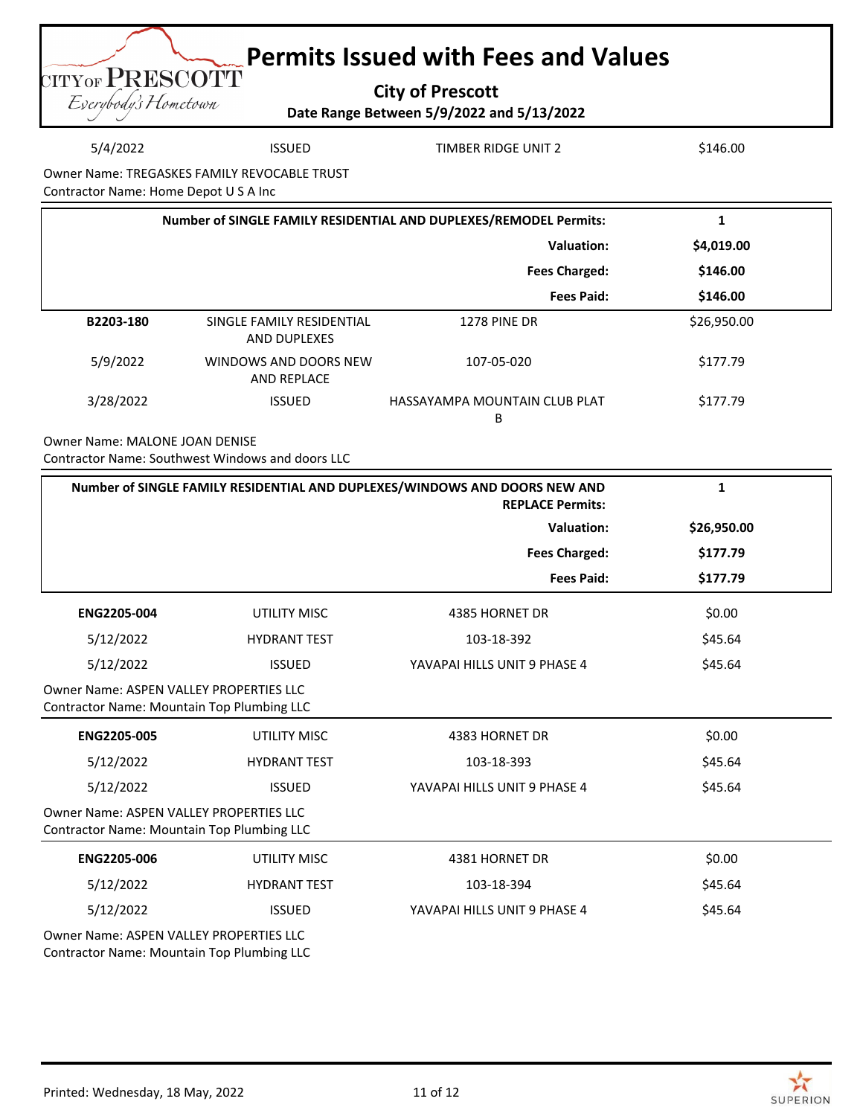

5/4/2022 ISSUED TIMBER RIDGE UNIT 2 \$146.00

Owner Name: TREGASKES FAMILY REVOCABLE TRUST

Contractor Name: Home Depot U S A Inc

|           | Number of SINGLE FAMILY RESIDENTIAL AND DUPLEXES/REMODEL Permits: |                                    |             |
|-----------|-------------------------------------------------------------------|------------------------------------|-------------|
|           |                                                                   | Valuation:                         | \$4,019.00  |
|           |                                                                   | <b>Fees Charged:</b>               | \$146.00    |
|           |                                                                   | <b>Fees Paid:</b>                  | \$146.00    |
| B2203-180 | SINGLE FAMILY RESIDENTIAL<br>AND DUPLEXES                         | <b>1278 PINE DR</b>                | \$26,950.00 |
| 5/9/2022  | WINDOWS AND DOORS NEW<br><b>AND REPLACE</b>                       | 107-05-020                         | \$177.79    |
| 3/28/2022 | <b>ISSUED</b>                                                     | HASSAYAMPA MOUNTAIN CLUB PLAT<br>B | \$177.79    |

Owner Name: MALONE JOAN DENISE Contractor Name: Southwest Windows and doors LLC

|                                                                                              | Number of SINGLE FAMILY RESIDENTIAL AND DUPLEXES/WINDOWS AND DOORS NEW AND<br><b>REPLACE Permits:</b> |                              |             |
|----------------------------------------------------------------------------------------------|-------------------------------------------------------------------------------------------------------|------------------------------|-------------|
|                                                                                              |                                                                                                       | Valuation:                   | \$26,950.00 |
|                                                                                              |                                                                                                       | <b>Fees Charged:</b>         | \$177.79    |
|                                                                                              |                                                                                                       | <b>Fees Paid:</b>            | \$177.79    |
| <b>ENG2205-004</b>                                                                           | UTILITY MISC                                                                                          | 4385 HORNET DR               | \$0.00      |
| 5/12/2022                                                                                    | <b>HYDRANT TEST</b>                                                                                   | 103-18-392                   | \$45.64     |
| 5/12/2022                                                                                    | <b>ISSUED</b>                                                                                         | YAVAPAI HILLS UNIT 9 PHASE 4 | \$45.64     |
| Owner Name: ASPEN VALLEY PROPERTIES LLC<br>Contractor Name: Mountain Top Plumbing LLC        |                                                                                                       |                              |             |
| <b>ENG2205-005</b>                                                                           | <b>UTILITY MISC</b>                                                                                   | 4383 HORNET DR               | \$0.00      |
| 5/12/2022                                                                                    | <b>HYDRANT TEST</b>                                                                                   | 103-18-393                   | \$45.64     |
| 5/12/2022                                                                                    | <b>ISSUED</b>                                                                                         | YAVAPAI HILLS UNIT 9 PHASE 4 | \$45.64     |
| <b>Owner Name: ASPEN VALLEY PROPERTIES LLC</b><br>Contractor Name: Mountain Top Plumbing LLC |                                                                                                       |                              |             |
| <b>ENG2205-006</b>                                                                           | <b>UTILITY MISC</b>                                                                                   | 4381 HORNET DR               | \$0.00      |
| 5/12/2022                                                                                    | <b>HYDRANT TEST</b>                                                                                   | 103-18-394                   | \$45.64     |
| 5/12/2022                                                                                    | <b>ISSUED</b>                                                                                         | YAVAPAI HILLS UNIT 9 PHASE 4 | \$45.64     |
| Owner Name: ASPEN VALLEY PROPERTIES LLC                                                      |                                                                                                       |                              |             |

Contractor Name: Mountain Top Plumbing LLC